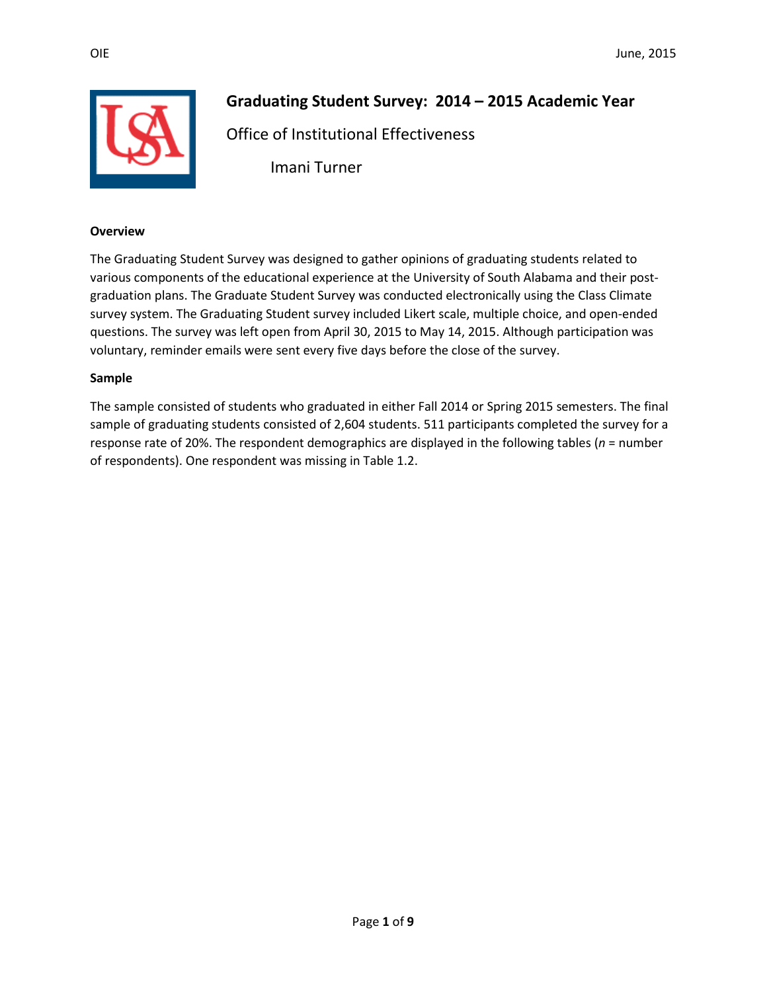

# **Graduating Student Survey: 2014 – 2015 Academic Year**

Office of Institutional Effectiveness

Imani Turner

#### **Overview**

The Graduating Student Survey was designed to gather opinions of graduating students related to various components of the educational experience at the University of South Alabama and their postgraduation plans. The Graduate Student Survey was conducted electronically using the Class Climate survey system. The Graduating Student survey included Likert scale, multiple choice, and open-ended questions. The survey was left open from April 30, 2015 to May 14, 2015. Although participation was voluntary, reminder emails were sent every five days before the close of the survey.

#### **Sample**

The sample consisted of students who graduated in either Fall 2014 or Spring 2015 semesters. The final sample of graduating students consisted of 2,604 students. 511 participants completed the survey for a response rate of 20%. The respondent demographics are displayed in the following tables (*n* = number of respondents). One respondent was missing in Table 1.2.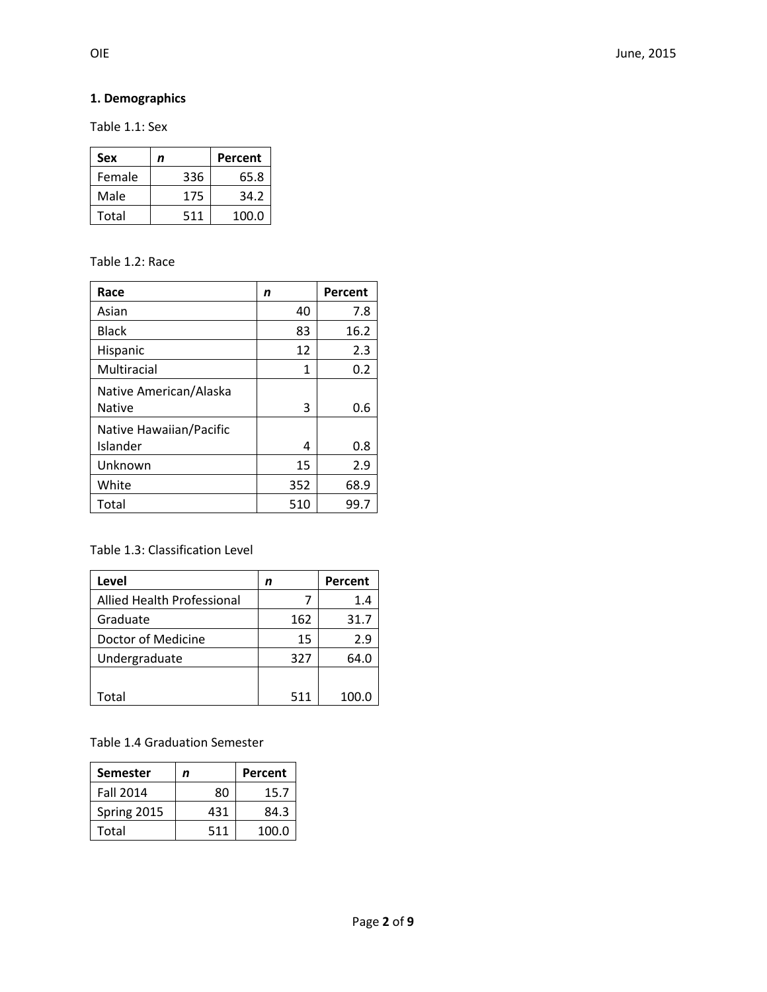## **1. Demographics**

Table 1.1: Sex

| Sex    | n   | Percent |
|--------|-----|---------|
| Female | 336 | 65.8    |
| Male   | 175 | 34.2    |
| Total  | 511 | 100.0   |

#### Table 1.2: Race

| Race                    | n   | Percent |
|-------------------------|-----|---------|
| Asian                   | 40  | 7.8     |
| <b>Black</b>            | 83  | 16.2    |
| Hispanic                | 12  | 2.3     |
| Multiracial             | 1   | 0.2     |
| Native American/Alaska  |     |         |
| <b>Native</b>           | 3   | 0.6     |
| Native Hawaiian/Pacific |     |         |
| Islander                | 4   | 0.8     |
| Unknown                 | 15  | 2.9     |
| White                   | 352 | 68.9    |
| Total                   | 510 | 99.7    |

#### Table 1.3: Classification Level

| Level                             | n   | Percent |
|-----------------------------------|-----|---------|
| <b>Allied Health Professional</b> |     | 1.4     |
| Graduate                          | 162 | 31.7    |
| Doctor of Medicine                | 15  | 2.9     |
| Undergraduate                     | 327 | 64.0    |
|                                   |     |         |
| Total                             | 511 | 100.0   |

#### Table 1.4 Graduation Semester

| <b>Semester</b>  | n   | Percent |
|------------------|-----|---------|
| <b>Fall 2014</b> | 80  | 15.7    |
| Spring 2015      | 431 | 84.3    |
| Total            | 511 | 100.0   |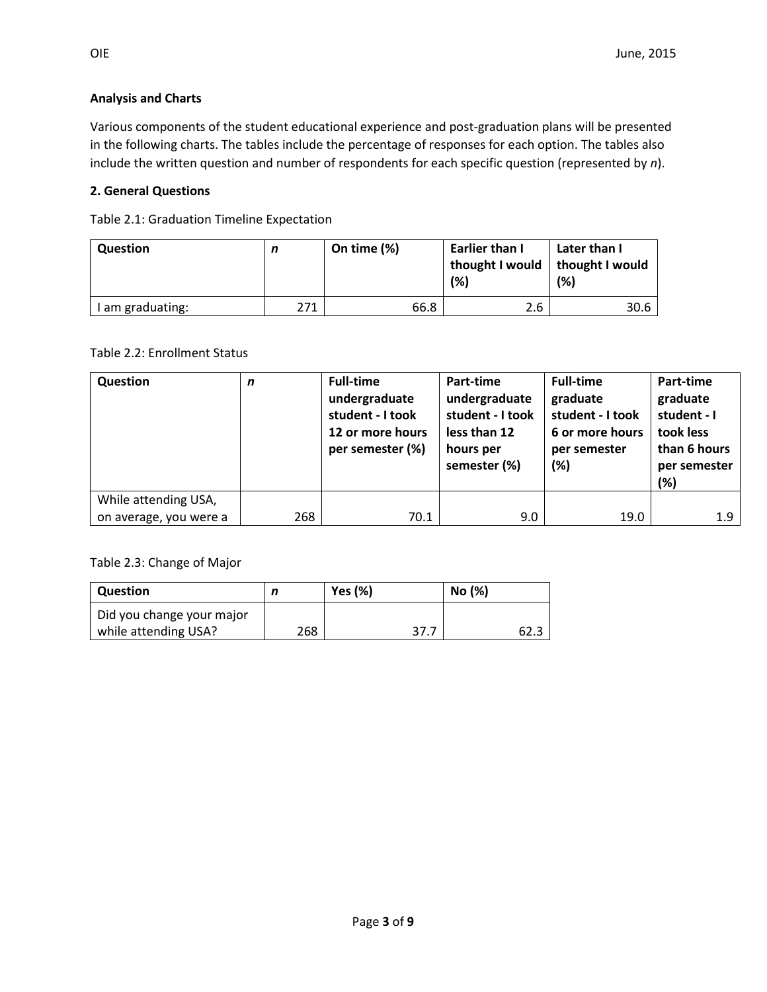#### **Analysis and Charts**

Various components of the student educational experience and post-graduation plans will be presented in the following charts. The tables include the percentage of responses for each option. The tables also include the written question and number of respondents for each specific question (represented by *n*).

#### **2. General Questions**

Table 2.1: Graduation Timeline Expectation

| <b>Question</b>  | n   | On time $(\%)$ | Earlier than I<br>thought I would   thought I would<br>(%) | Later than I<br>(%) |
|------------------|-----|----------------|------------------------------------------------------------|---------------------|
| I am graduating: | 271 | 66.8           | 2.6                                                        | 30.6                |

Table 2.2: Enrollment Status

| Question               | n   | <b>Full-time</b><br>undergraduate<br>student - I took<br>12 or more hours<br>per semester (%) | Part-time<br>undergraduate<br>student - I took<br>less than 12<br>hours per<br>semester (%) | <b>Full-time</b><br>graduate<br>student - I took<br>6 or more hours<br>per semester<br>(%) | Part-time<br>graduate<br>student - I<br>took less<br>than 6 hours<br>per semester<br>(%) |
|------------------------|-----|-----------------------------------------------------------------------------------------------|---------------------------------------------------------------------------------------------|--------------------------------------------------------------------------------------------|------------------------------------------------------------------------------------------|
| While attending USA,   |     |                                                                                               |                                                                                             |                                                                                            |                                                                                          |
| on average, you were a | 268 | 70.1                                                                                          | 9.0                                                                                         | 19.0                                                                                       | 1.9                                                                                      |

Table 2.3: Change of Major

| Question                  |     | <b>Yes (%)</b> | No (%) |
|---------------------------|-----|----------------|--------|
| Did you change your major |     |                |        |
| while attending USA?      | 268 |                | 62.3   |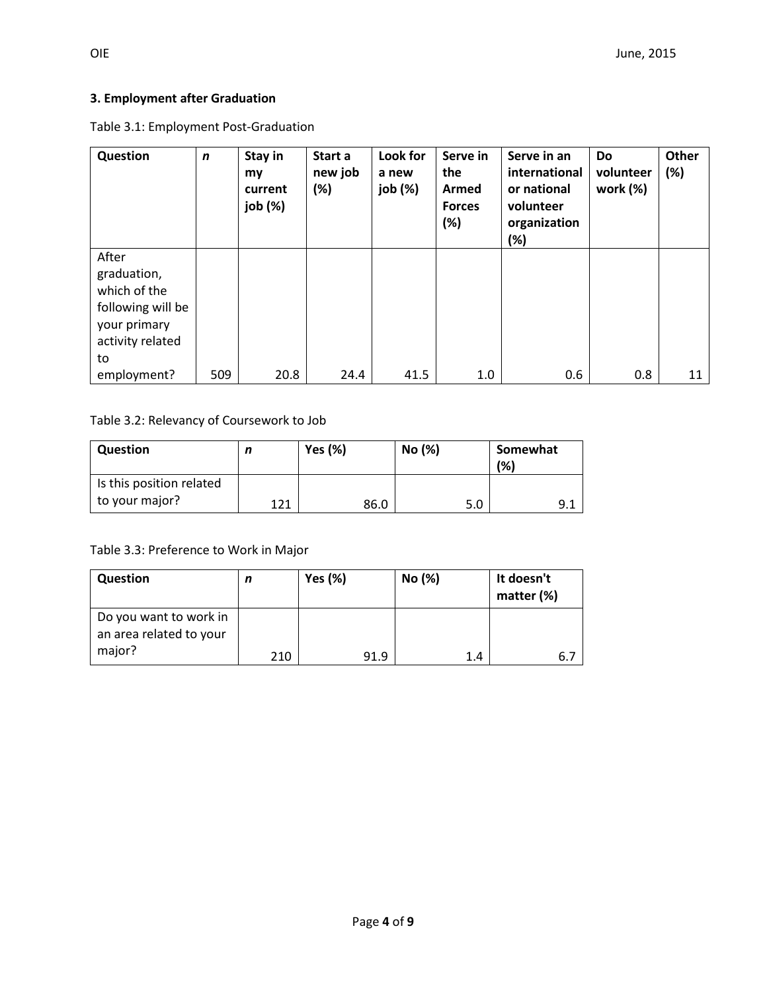## **3. Employment after Graduation**

Table 3.1: Employment Post-Graduation

| Question                                                                                            | $\mathbf n$ | Stay in<br>my<br>current<br>job (%) | Start a<br>new job<br>(%) | Look for<br>a new<br>job (%) | Serve in<br>the<br>Armed<br><b>Forces</b><br>(%) | Serve in an<br>international<br>or national<br>volunteer<br>organization<br>(%) | <b>Do</b><br>volunteer<br>work (%) | Other<br>(%) |
|-----------------------------------------------------------------------------------------------------|-------------|-------------------------------------|---------------------------|------------------------------|--------------------------------------------------|---------------------------------------------------------------------------------|------------------------------------|--------------|
| After<br>graduation,<br>which of the<br>following will be<br>your primary<br>activity related<br>to |             |                                     |                           |                              |                                                  |                                                                                 |                                    |              |
| employment?                                                                                         | 509         | 20.8                                | 24.4                      | 41.5                         | 1.0                                              | 0.6                                                                             | 0.8                                | 11           |

#### Table 3.2: Relevancy of Coursework to Job

| <b>Question</b>                            |     | <b>Yes (%)</b> | No (%) | Somewhat<br>(% ) |
|--------------------------------------------|-----|----------------|--------|------------------|
| Is this position related<br>to your major? | 171 | 86.0           | 5.0    | 9.1              |

Table 3.3: Preference to Work in Major

| <b>Question</b>                                   | n   | <b>Yes (%)</b> | No (%) | It doesn't<br>matter (%) |
|---------------------------------------------------|-----|----------------|--------|--------------------------|
| Do you want to work in<br>an area related to your |     |                |        |                          |
| major?                                            | 210 | 91.9           | 1.4    | 6.7                      |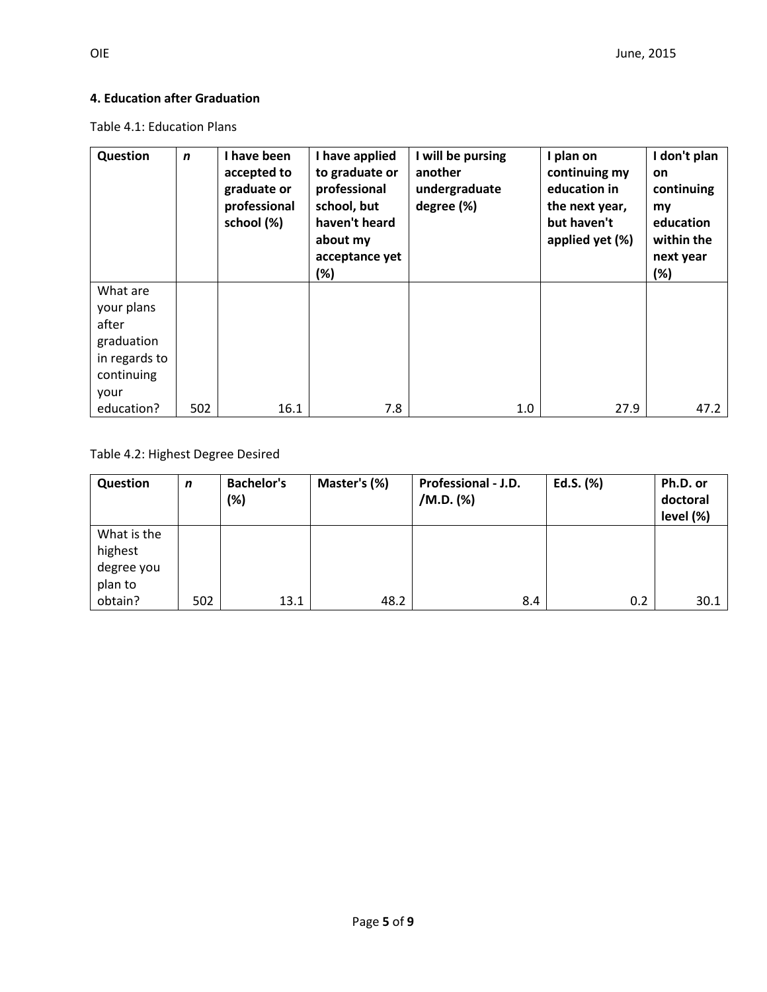### **4. Education after Graduation**

Table 4.1: Education Plans

Table 4.2: Highest Degree Desired

| Question                                        | n   | <b>Bachelor's</b><br>(%) | Master's (%) | Professional - J.D.<br>/M.D. (%) | Ed.S. (%) | Ph.D. or<br>doctoral<br>level (%) |
|-------------------------------------------------|-----|--------------------------|--------------|----------------------------------|-----------|-----------------------------------|
| What is the<br>highest<br>degree you<br>plan to |     |                          |              |                                  |           |                                   |
| obtain?                                         | 502 | 13.1                     | 48.2         | 8.4                              | 0.2       | 30.1                              |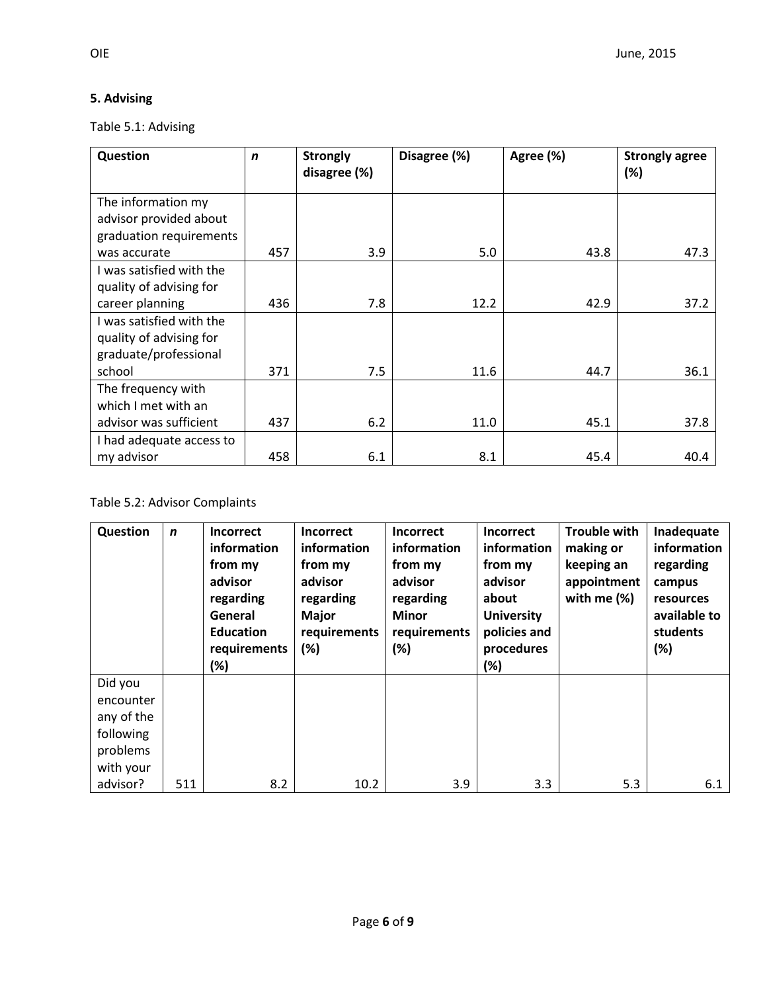## **5. Advising**

Table 5.1: Advising

| Question                 | $\mathbf n$ | <b>Strongly</b><br>disagree (%) | Disagree (%) | Agree (%) | <b>Strongly agree</b><br>(%) |
|--------------------------|-------------|---------------------------------|--------------|-----------|------------------------------|
|                          |             |                                 |              |           |                              |
| The information my       |             |                                 |              |           |                              |
| advisor provided about   |             |                                 |              |           |                              |
| graduation requirements  |             |                                 |              |           |                              |
| was accurate             | 457         | 3.9                             | 5.0          | 43.8      | 47.3                         |
| I was satisfied with the |             |                                 |              |           |                              |
| quality of advising for  |             |                                 |              |           |                              |
| career planning          | 436         | 7.8                             | 12.2         | 42.9      | 37.2                         |
| I was satisfied with the |             |                                 |              |           |                              |
| quality of advising for  |             |                                 |              |           |                              |
| graduate/professional    |             |                                 |              |           |                              |
| school                   | 371         | 7.5                             | 11.6         | 44.7      | 36.1                         |
| The frequency with       |             |                                 |              |           |                              |
| which I met with an      |             |                                 |              |           |                              |
| advisor was sufficient   | 437         | 6.2                             | 11.0         | 45.1      | 37.8                         |
| I had adequate access to |             |                                 |              |           |                              |
| my advisor               | 458         | 6.1                             | 8.1          | 45.4      | 40.4                         |

# Table 5.2: Advisor Complaints

| Question   | $\mathbf n$ | <b>Incorrect</b> | <b>Incorrect</b> | Incorrect    | <b>Incorrect</b>  | <b>Trouble with</b> | Inadequate   |
|------------|-------------|------------------|------------------|--------------|-------------------|---------------------|--------------|
|            |             | information      | information      | information  | information       | making or           | information  |
|            |             | from my          | from my          | from my      | from my           | keeping an          | regarding    |
|            |             | advisor          | advisor          | advisor      | advisor           | appointment         | campus       |
|            |             | regarding        | regarding        | regarding    | about             | with me $(\%)$      | resources    |
|            |             | General          | <b>Major</b>     | <b>Minor</b> | <b>University</b> |                     | available to |
|            |             | <b>Education</b> | requirements     | requirements | policies and      |                     | students     |
|            |             | requirements     | (%)              | (%)          | procedures        |                     | (%)          |
|            |             | (%)              |                  |              | $(\%)$            |                     |              |
| Did you    |             |                  |                  |              |                   |                     |              |
| encounter  |             |                  |                  |              |                   |                     |              |
| any of the |             |                  |                  |              |                   |                     |              |
| following  |             |                  |                  |              |                   |                     |              |
| problems   |             |                  |                  |              |                   |                     |              |
| with your  |             |                  |                  |              |                   |                     |              |
| advisor?   | 511         | 8.2              | 10.2             | 3.9          | 3.3               | 5.3                 | 6.1          |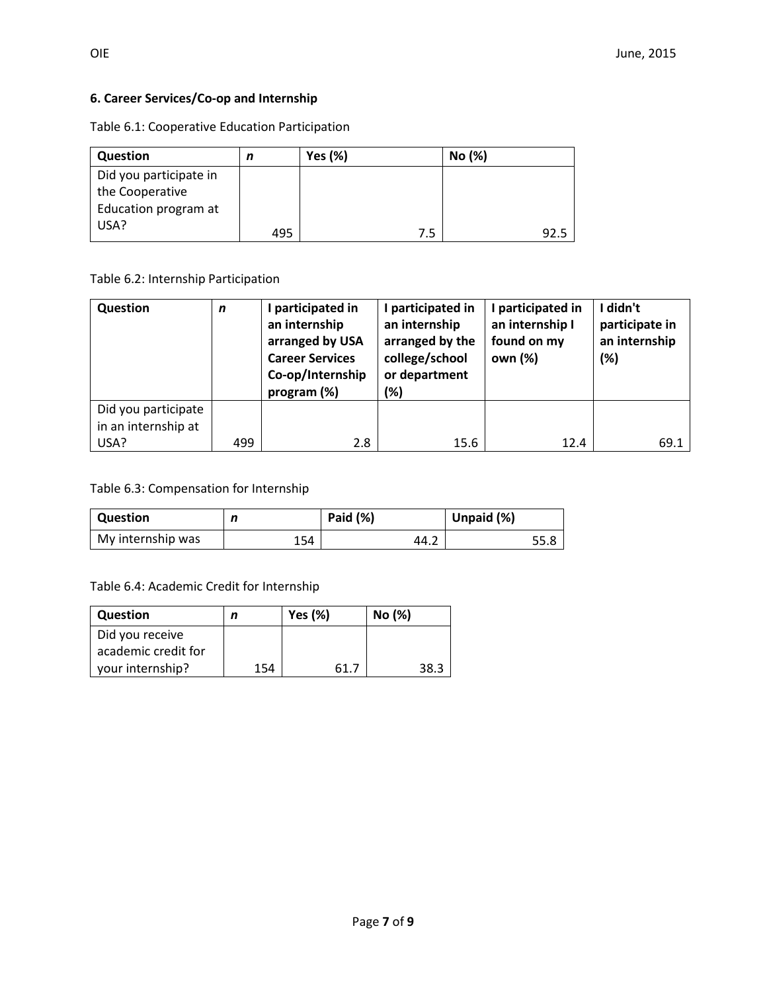## **6. Career Services/Co-op and Internship**

Table 6.1: Cooperative Education Participation

| Question               | n   | <b>Yes (%)</b> | No (%) |
|------------------------|-----|----------------|--------|
| Did you participate in |     |                |        |
| the Cooperative        |     |                |        |
| Education program at   |     |                |        |
| USA?                   | 495 | 7.5            | 92.5   |

Table 6.2: Internship Participation

| Question                                   | $\mathbf n$ | participated in<br>an internship<br>arranged by USA<br><b>Career Services</b><br>Co-op/Internship<br>program (%) | I participated in<br>an internship<br>arranged by the<br>college/school<br>or department<br>(%) | participated in<br>an internship I<br>found on my<br>own (%) | didn't<br>participate in<br>an internship<br>(%) |
|--------------------------------------------|-------------|------------------------------------------------------------------------------------------------------------------|-------------------------------------------------------------------------------------------------|--------------------------------------------------------------|--------------------------------------------------|
| Did you participate<br>in an internship at |             |                                                                                                                  |                                                                                                 |                                                              |                                                  |
| USA?                                       | 499         | 2.8                                                                                                              | 15.6                                                                                            | 12.4                                                         | 69.1                                             |

Table 6.3: Compensation for Internship

| <b>Question</b>   | n   | Paid (%) | Unpaid (%) |
|-------------------|-----|----------|------------|
| My internship was | 154 | 44.2     | 55.8       |

Table 6.4: Academic Credit for Internship

| Question            |     | Yes $(\%)$ | No (%) |
|---------------------|-----|------------|--------|
| Did you receive     |     |            |        |
| academic credit for |     |            |        |
| your internship?    | 154 | -61.7      | 38.3   |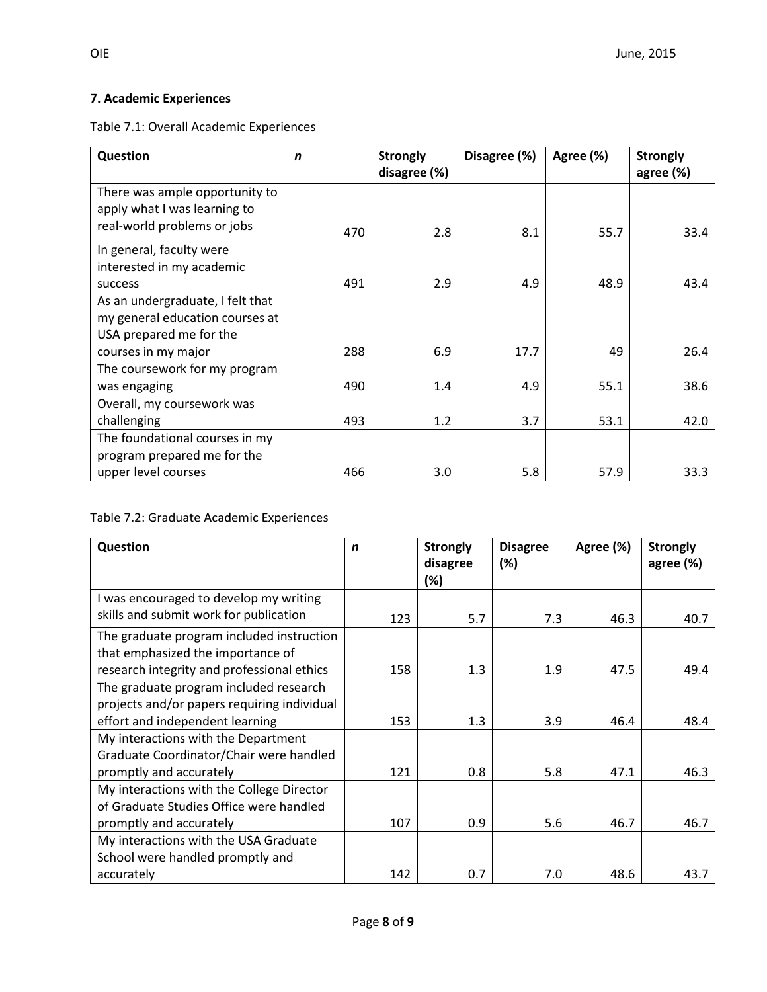## **7. Academic Experiences**

Table 7.1: Overall Academic Experiences

| Question                                                       | $\mathbf n$ | <b>Strongly</b><br>disagree (%) | Disagree (%) | Agree (%) | <b>Strongly</b><br>agree (%) |
|----------------------------------------------------------------|-------------|---------------------------------|--------------|-----------|------------------------------|
| There was ample opportunity to<br>apply what I was learning to |             |                                 |              |           |                              |
| real-world problems or jobs                                    | 470         | 2.8                             | 8.1          | 55.7      | 33.4                         |
| In general, faculty were                                       |             |                                 |              |           |                              |
| interested in my academic<br>success                           | 491         | 2.9                             | 4.9          | 48.9      | 43.4                         |
| As an undergraduate, I felt that                               |             |                                 |              |           |                              |
| my general education courses at<br>USA prepared me for the     |             |                                 |              |           |                              |
| courses in my major                                            | 288         | 6.9                             | 17.7         | 49        | 26.4                         |
| The coursework for my program                                  |             |                                 |              |           |                              |
| was engaging                                                   | 490         | 1.4                             | 4.9          | 55.1      | 38.6                         |
| Overall, my coursework was                                     |             |                                 |              |           |                              |
| challenging                                                    | 493         | 1.2                             | 3.7          | 53.1      | 42.0                         |
| The foundational courses in my                                 |             |                                 |              |           |                              |
| program prepared me for the                                    |             |                                 |              |           |                              |
| upper level courses                                            | 466         | 3.0                             | 5.8          | 57.9      | 33.3                         |

## Table 7.2: Graduate Academic Experiences

| Question                                    | n   | <b>Strongly</b><br>disagree | <b>Disagree</b><br>(%) | Agree (%) | <b>Strongly</b><br>agree (%) |
|---------------------------------------------|-----|-----------------------------|------------------------|-----------|------------------------------|
|                                             |     | (%)                         |                        |           |                              |
| I was encouraged to develop my writing      |     |                             |                        |           |                              |
| skills and submit work for publication      | 123 | 5.7                         | 7.3                    | 46.3      | 40.7                         |
| The graduate program included instruction   |     |                             |                        |           |                              |
| that emphasized the importance of           |     |                             |                        |           |                              |
| research integrity and professional ethics  | 158 | 1.3                         | 1.9                    | 47.5      | 49.4                         |
| The graduate program included research      |     |                             |                        |           |                              |
| projects and/or papers requiring individual |     |                             |                        |           |                              |
| effort and independent learning             | 153 | 1.3                         | 3.9                    | 46.4      | 48.4                         |
| My interactions with the Department         |     |                             |                        |           |                              |
| Graduate Coordinator/Chair were handled     |     |                             |                        |           |                              |
| promptly and accurately                     | 121 | 0.8                         | 5.8                    | 47.1      | 46.3                         |
| My interactions with the College Director   |     |                             |                        |           |                              |
| of Graduate Studies Office were handled     |     |                             |                        |           |                              |
| promptly and accurately                     | 107 | 0.9                         | 5.6                    | 46.7      | 46.7                         |
| My interactions with the USA Graduate       |     |                             |                        |           |                              |
| School were handled promptly and            |     |                             |                        |           |                              |
| accurately                                  | 142 | 0.7                         | 7.0                    | 48.6      | 43.7                         |